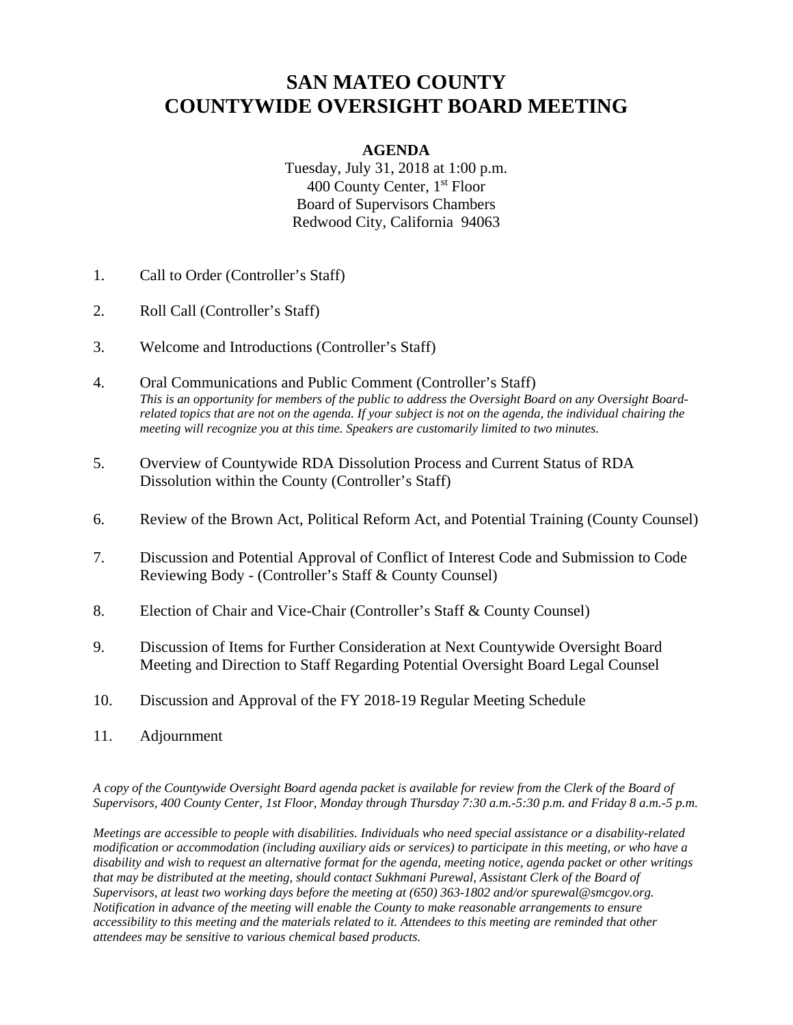### **SAN MATEO COUNTY COUNTYWIDE OVERSIGHT BOARD MEETING**

#### **AGENDA**

Tuesday, July 31, 2018 at 1:00 p.m. 400 County Center, 1<sup>st</sup> Floor Board of Supervisors Chambers Redwood City, California 94063

- 1. Call to Order (Controller's Staff)
- 2. Roll Call (Controller's Staff)
- 3. Welcome and Introductions (Controller's Staff)
- 4. Oral Communications and Public Comment (Controller's Staff) *This is an opportunity for members of the public to address the Oversight Board on any Oversight Boardrelated topics that are not on the agenda. If your subject is not on the agenda, the individual chairing the meeting will recognize you at this time. Speakers are customarily limited to two minutes.*
- 5. Overview of Countywide RDA Dissolution Process and Current Status of RDA Dissolution within the County (Controller's Staff)
- 6. Review of the Brown Act, Political Reform Act, and Potential Training (County Counsel)
- 7. Discussion and Potential Approval of Conflict of Interest Code and Submission to Code Reviewing Body - (Controller's Staff & County Counsel)
- 8. Election of Chair and Vice-Chair (Controller's Staff & County Counsel)
- 9. Discussion of Items for Further Consideration at Next Countywide Oversight Board Meeting and Direction to Staff Regarding Potential Oversight Board Legal Counsel
- 10. Discussion and Approval of the FY 2018-19 Regular Meeting Schedule
- 11. Adjournment

*A copy of the Countywide Oversight Board agenda packet is available for review from the Clerk of the Board of Supervisors, 400 County Center, 1st Floor, Monday through Thursday 7:30 a.m.-5:30 p.m. and Friday 8 a.m.-5 p.m.* 

*Meetings are accessible to people with disabilities. Individuals who need special assistance or a disability-related modification or accommodation (including auxiliary aids or services) to participate in this meeting, or who have a disability and wish to request an alternative format for the agenda, meeting notice, agenda packet or other writings that may be distributed at the meeting, should contact Sukhmani Purewal, Assistant Clerk of the Board of Supervisors, at least two working days before the meeting at (650) 363-1802 and/or spurewal@smcgov.org. Notification in advance of the meeting will enable the County to make reasonable arrangements to ensure accessibility to this meeting and the materials related to it. Attendees to this meeting are reminded that other attendees may be sensitive to various chemical based products.*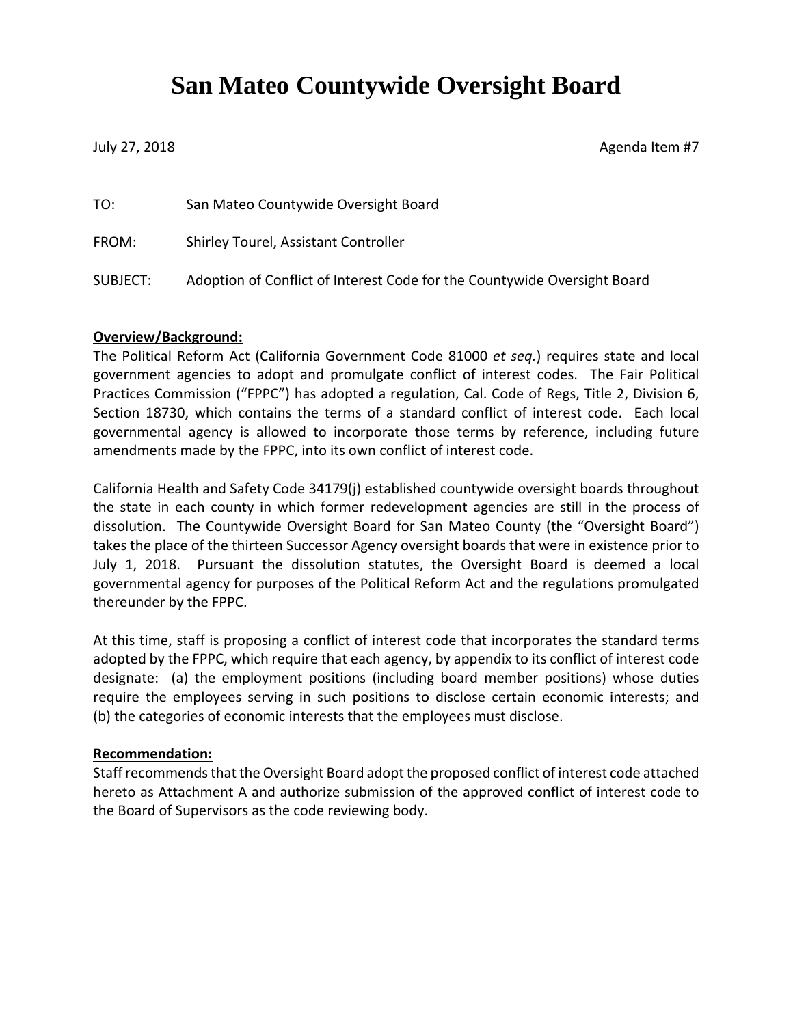# **San Mateo Countywide Oversight Board**

July 27, 2018 **Agenda Item #7** 

| TO:      | San Mateo Countywide Oversight Board                                     |
|----------|--------------------------------------------------------------------------|
| FROM:    | Shirley Tourel, Assistant Controller                                     |
| SUBJECT: | Adoption of Conflict of Interest Code for the Countywide Oversight Board |

#### **Overview/Background:**

The Political Reform Act (California Government Code 81000 *et seq.*) requires state and local government agencies to adopt and promulgate conflict of interest codes. The Fair Political Practices Commission ("FPPC") has adopted a regulation, Cal. Code of Regs, Title 2, Division 6, Section 18730, which contains the terms of a standard conflict of interest code. Each local governmental agency is allowed to incorporate those terms by reference, including future amendments made by the FPPC, into its own conflict of interest code.

California Health and Safety Code 34179(j) established countywide oversight boards throughout the state in each county in which former redevelopment agencies are still in the process of dissolution. The Countywide Oversight Board for San Mateo County (the "Oversight Board") takes the place of the thirteen Successor Agency oversight boards that were in existence prior to July 1, 2018. Pursuant the dissolution statutes, the Oversight Board is deemed a local governmental agency for purposes of the Political Reform Act and the regulations promulgated thereunder by the FPPC.

At this time, staff is proposing a conflict of interest code that incorporates the standard terms adopted by the FPPC, which require that each agency, by appendix to its conflict of interest code designate: (a) the employment positions (including board member positions) whose duties require the employees serving in such positions to disclose certain economic interests; and (b) the categories of economic interests that the employees must disclose.

#### **Recommendation:**

Staff recommends that the Oversight Board adopt the proposed conflict of interest code attached hereto as Attachment A and authorize submission of the approved conflict of interest code to the Board of Supervisors as the code reviewing body.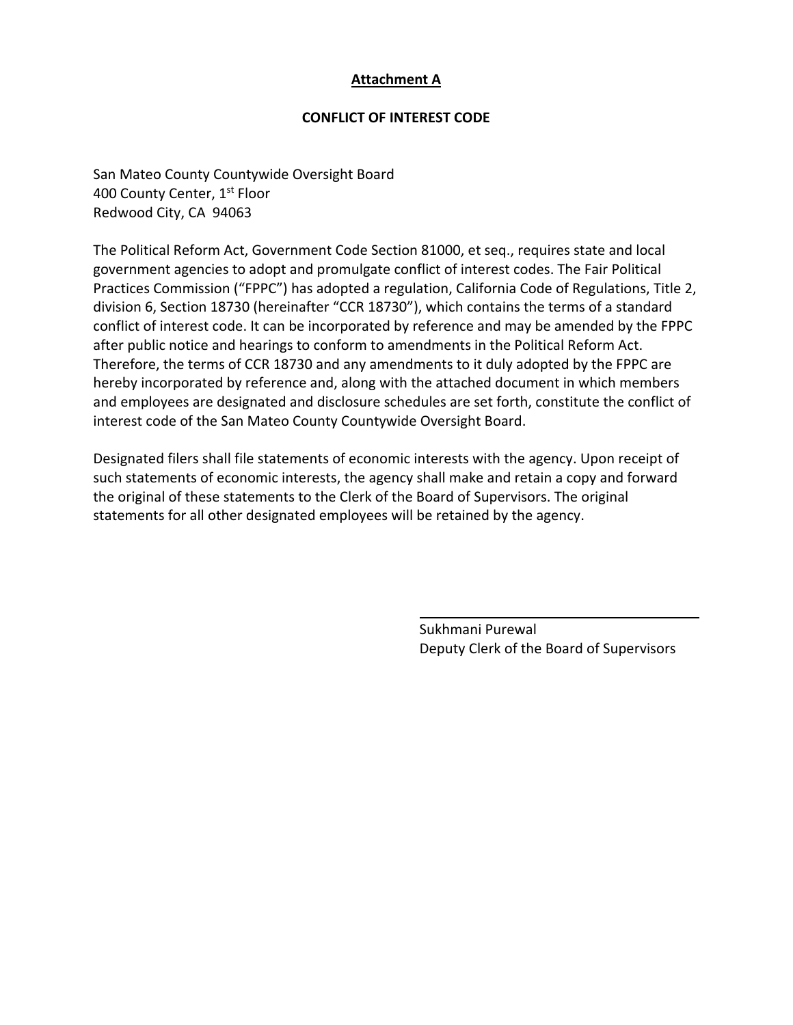#### **Attachment A**

#### **CONFLICT OF INTEREST CODE**

San Mateo County Countywide Oversight Board 400 County Center, 1st Floor Redwood City, CA 94063

The Political Reform Act, Government Code Section 81000, et seq., requires state and local government agencies to adopt and promulgate conflict of interest codes. The Fair Political Practices Commission ("FPPC") has adopted a regulation, California Code of Regulations, Title 2, division 6, Section 18730 (hereinafter "CCR 18730"), which contains the terms of a standard conflict of interest code. It can be incorporated by reference and may be amended by the FPPC after public notice and hearings to conform to amendments in the Political Reform Act. Therefore, the terms of CCR 18730 and any amendments to it duly adopted by the FPPC are hereby incorporated by reference and, along with the attached document in which members and employees are designated and disclosure schedules are set forth, constitute the conflict of interest code of the San Mateo County Countywide Oversight Board.

Designated filers shall file statements of economic interests with the agency. Upon receipt of such statements of economic interests, the agency shall make and retain a copy and forward the original of these statements to the Clerk of the Board of Supervisors. The original statements for all other designated employees will be retained by the agency.

> Sukhmani Purewal Deputy Clerk of the Board of Supervisors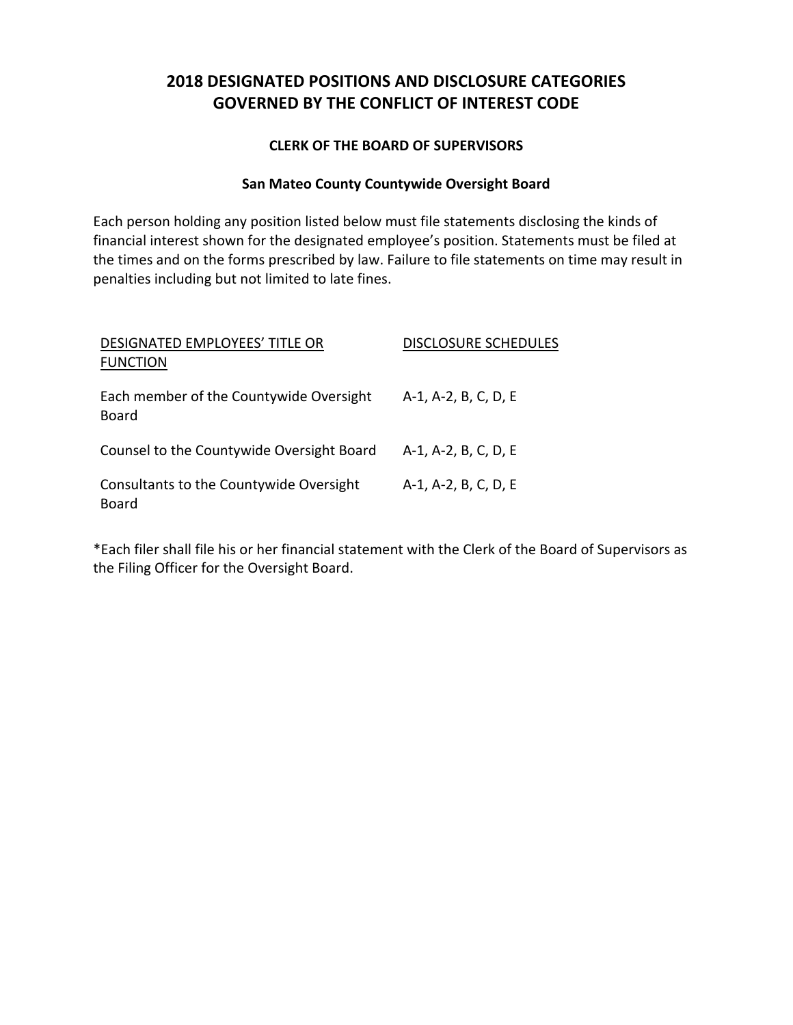### **2018 DESIGNATED POSITIONS AND DISCLOSURE CATEGORIES GOVERNED BY THE CONFLICT OF INTEREST CODE**

#### **CLERK OF THE BOARD OF SUPERVISORS**

#### **San Mateo County Countywide Oversight Board**

Each person holding any position listed below must file statements disclosing the kinds of financial interest shown for the designated employee's position. Statements must be filed at the times and on the forms prescribed by law. Failure to file statements on time may result in penalties including but not limited to late fines.

| DESIGNATED EMPLOYEES' TITLE OR                   | <b>DISCLOSURE SCHEDULES</b> |  |
|--------------------------------------------------|-----------------------------|--|
| <b>FUNCTION</b>                                  |                             |  |
| Each member of the Countywide Oversight<br>Board | A-1, A-2, B, C, D, E        |  |
| Counsel to the Countywide Oversight Board        | A-1, A-2, B, C, D, E        |  |
| Consultants to the Countywide Oversight<br>Board | A-1, A-2, B, C, D, E        |  |

\*Each filer shall file his or her financial statement with the Clerk of the Board of Supervisors as the Filing Officer for the Oversight Board.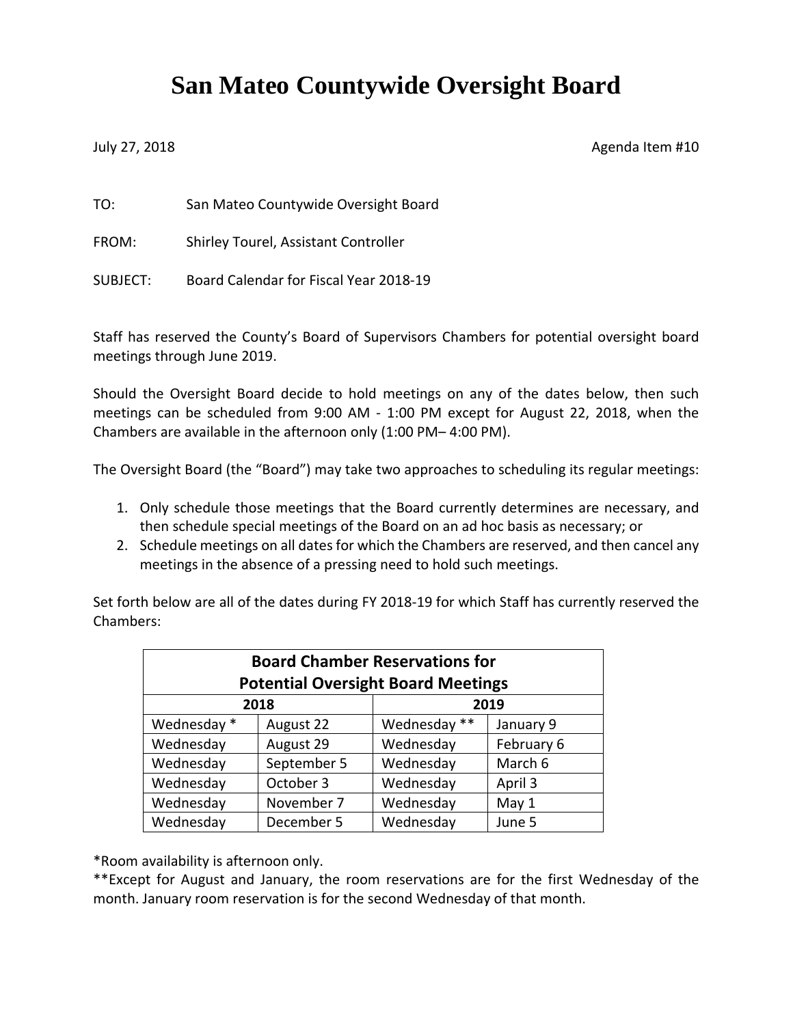# **San Mateo Countywide Oversight Board**

July 27, 2018 **Agenda Item #10** 

TO: San Mateo Countywide Oversight Board

FROM: Shirley Tourel, Assistant Controller

SUBJECT: Board Calendar for Fiscal Year 2018-19

Staff has reserved the County's Board of Supervisors Chambers for potential oversight board meetings through June 2019.

Should the Oversight Board decide to hold meetings on any of the dates below, then such meetings can be scheduled from 9:00 AM - 1:00 PM except for August 22, 2018, when the Chambers are available in the afternoon only (1:00 PM– 4:00 PM).

The Oversight Board (the "Board") may take two approaches to scheduling its regular meetings:

- 1. Only schedule those meetings that the Board currently determines are necessary, and then schedule special meetings of the Board on an ad hoc basis as necessary; or
- 2. Schedule meetings on all dates for which the Chambers are reserved, and then cancel any meetings in the absence of a pressing need to hold such meetings.

Set forth below are all of the dates during FY 2018-19 for which Staff has currently reserved the Chambers:

| <b>Board Chamber Reservations for</b><br><b>Potential Oversight Board Meetings</b> |             |              |            |  |  |  |  |
|------------------------------------------------------------------------------------|-------------|--------------|------------|--|--|--|--|
|                                                                                    | 2018        | 2019         |            |  |  |  |  |
| Wednesday *                                                                        | August 22   | Wednesday ** | January 9  |  |  |  |  |
| Wednesday                                                                          | August 29   | Wednesday    | February 6 |  |  |  |  |
| Wednesday                                                                          | September 5 | Wednesday    | March 6    |  |  |  |  |
| Wednesday                                                                          | October 3   | Wednesday    | April 3    |  |  |  |  |
| Wednesday                                                                          | November 7  | Wednesday    | May 1      |  |  |  |  |
| Wednesday                                                                          | December 5  | Wednesday    | June 5     |  |  |  |  |

\*Room availability is afternoon only.

\*\*Except for August and January, the room reservations are for the first Wednesday of the month. January room reservation is for the second Wednesday of that month.